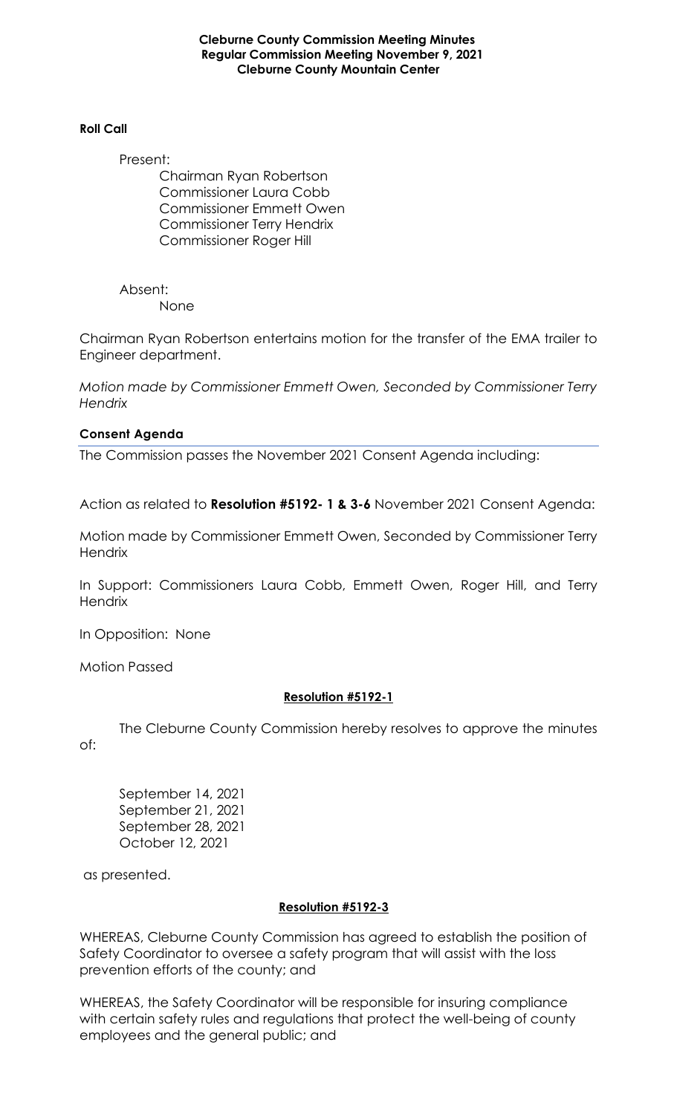**Cleburne County Commission Meeting Minutes Regular Commission Meeting November 9, 2021 Cleburne County Mountain Center**

#### **Roll Call**

Present:

Chairman Ryan Robertson Commissioner Laura Cobb Commissioner Emmett Owen Commissioner Terry Hendrix Commissioner Roger Hill

Absent: None

Chairman Ryan Robertson entertains motion for the transfer of the EMA trailer to Engineer department.

*Motion made by Commissioner Emmett Owen, Seconded by Commissioner Terry Hendrix*

### **Consent Agenda**

The Commission passes the November 2021 Consent Agenda including:

Action as related to **Resolution #5192- 1 & 3-6** November 2021 Consent Agenda:

Motion made by Commissioner Emmett Owen, Seconded by Commissioner Terry **Hendrix** 

In Support: Commissioners Laura Cobb, Emmett Owen, Roger Hill, and Terry **Hendrix** 

In Opposition: None

Motion Passed

# **Resolution #5192-1**

The Cleburne County Commission hereby resolves to approve the minutes of:

September 14, 2021 September 21, 2021 September 28, 2021 October 12, 2021

as presented.

# **Resolution #5192-3**

WHEREAS, Cleburne County Commission has agreed to establish the position of Safety Coordinator to oversee a safety program that will assist with the loss prevention efforts of the county; and

WHEREAS, the Safety Coordinator will be responsible for insuring compliance with certain safety rules and regulations that protect the well-being of county employees and the general public; and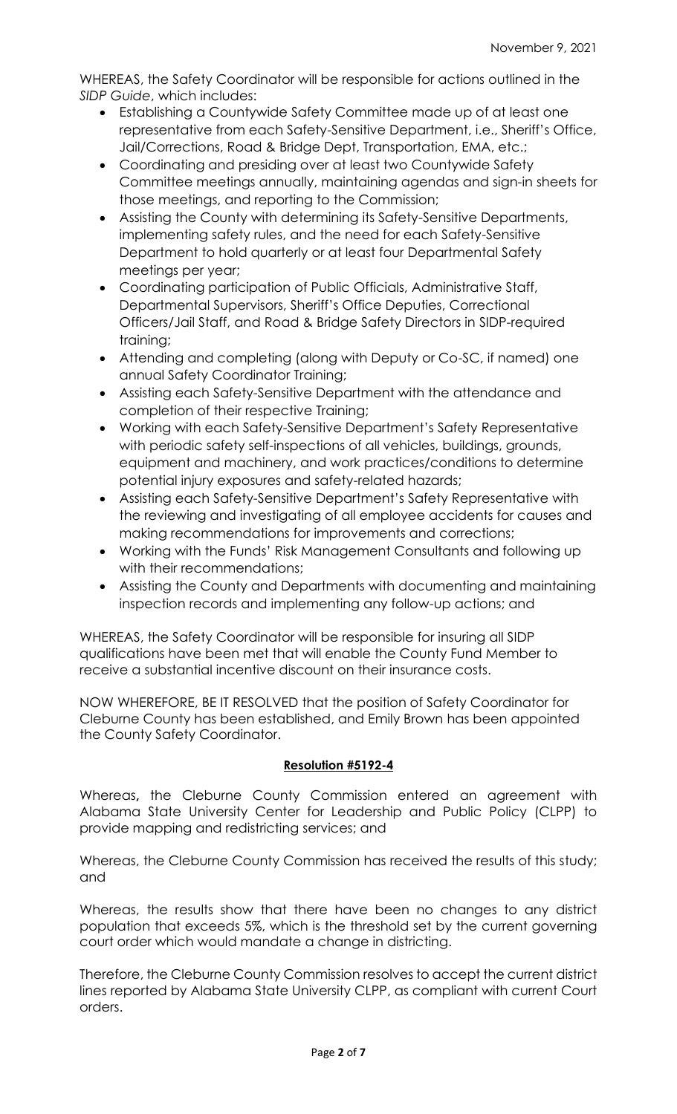WHEREAS, the Safety Coordinator will be responsible for actions outlined in the *SIDP Guide*, which includes:

- Establishing a Countywide Safety Committee made up of at least one representative from each Safety-Sensitive Department, i.e., Sheriff's Office, Jail/Corrections, Road & Bridge Dept, Transportation, EMA, etc.;
- Coordinating and presiding over at least two Countywide Safety Committee meetings annually, maintaining agendas and sign-in sheets for those meetings, and reporting to the Commission;
- Assisting the County with determining its Safety-Sensitive Departments, implementing safety rules, and the need for each Safety-Sensitive Department to hold quarterly or at least four Departmental Safety meetings per year;
- Coordinating participation of Public Officials, Administrative Staff, Departmental Supervisors, Sheriff's Office Deputies, Correctional Officers/Jail Staff, and Road & Bridge Safety Directors in SIDP-required training;
- Attending and completing (along with Deputy or Co-SC, if named) one annual Safety Coordinator Training;
- Assisting each Safety-Sensitive Department with the attendance and completion of their respective Training;
- Working with each Safety-Sensitive Department's Safety Representative with periodic safety self-inspections of all vehicles, buildings, grounds, equipment and machinery, and work practices/conditions to determine potential injury exposures and safety-related hazards;
- Assisting each Safety-Sensitive Department's Safety Representative with the reviewing and investigating of all employee accidents for causes and making recommendations for improvements and corrections;
- Working with the Funds' Risk Management Consultants and following up with their recommendations;
- Assisting the County and Departments with documenting and maintaining inspection records and implementing any follow-up actions; and

WHEREAS, the Safety Coordinator will be responsible for insuring all SIDP qualifications have been met that will enable the County Fund Member to receive a substantial incentive discount on their insurance costs.

NOW WHEREFORE, BE IT RESOLVED that the position of Safety Coordinator for Cleburne County has been established, and Emily Brown has been appointed the County Safety Coordinator.

# **Resolution #5192-4**

Whereas**,** the Cleburne County Commission entered an agreement with Alabama State University Center for Leadership and Public Policy (CLPP) to provide mapping and redistricting services; and

Whereas, the Cleburne County Commission has received the results of this study; and

Whereas, the results show that there have been no changes to any district population that exceeds 5%, which is the threshold set by the current governing court order which would mandate a change in districting.

Therefore, the Cleburne County Commission resolves to accept the current district lines reported by Alabama State University CLPP, as compliant with current Court orders.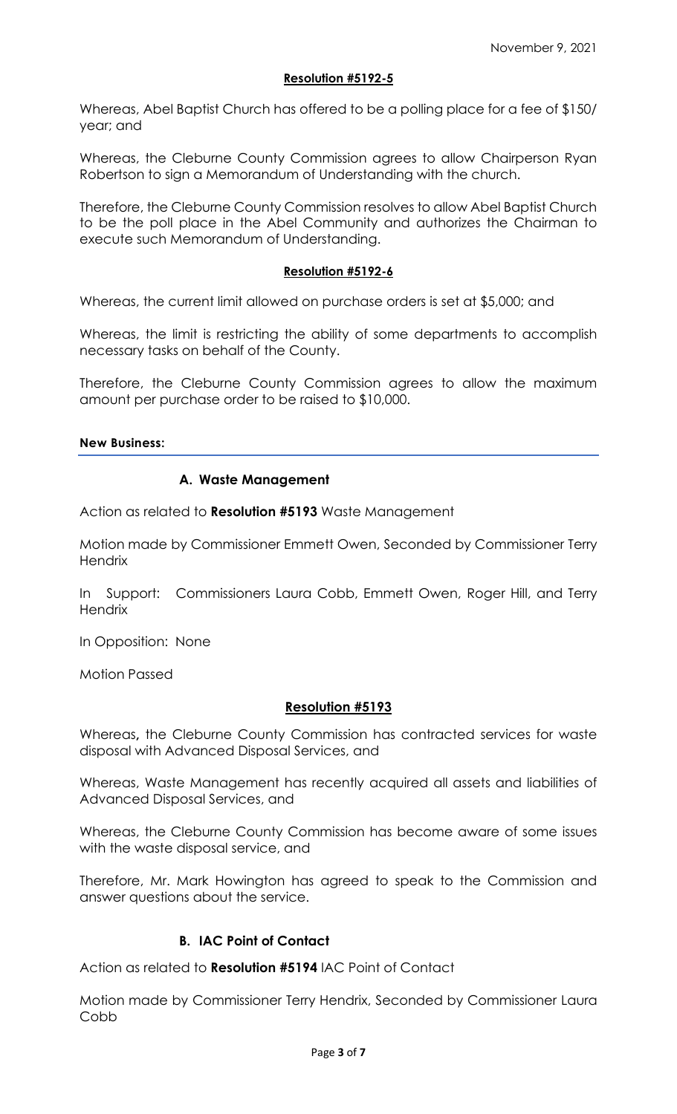### **Resolution #5192-5**

Whereas, Abel Baptist Church has offered to be a polling place for a fee of \$150/ year; and

Whereas, the Cleburne County Commission agrees to allow Chairperson Ryan Robertson to sign a Memorandum of Understanding with the church.

Therefore, the Cleburne County Commission resolves to allow Abel Baptist Church to be the poll place in the Abel Community and authorizes the Chairman to execute such Memorandum of Understanding.

#### **Resolution #5192-6**

Whereas, the current limit allowed on purchase orders is set at \$5,000; and

Whereas, the limit is restricting the ability of some departments to accomplish necessary tasks on behalf of the County.

Therefore, the Cleburne County Commission agrees to allow the maximum amount per purchase order to be raised to \$10,000.

### **New Business:**

# **A. Waste Management**

Action as related to **Resolution #5193** Waste Management

Motion made by Commissioner Emmett Owen, Seconded by Commissioner Terry **Hendrix** 

In Support: Commissioners Laura Cobb, Emmett Owen, Roger Hill, and Terry **Hendrix** 

In Opposition: None

Motion Passed

#### **Resolution #5193**

Whereas**,** the Cleburne County Commission has contracted services for waste disposal with Advanced Disposal Services, and

Whereas, Waste Management has recently acquired all assets and liabilities of Advanced Disposal Services, and

Whereas, the Cleburne County Commission has become aware of some issues with the waste disposal service, and

Therefore, Mr. Mark Howington has agreed to speak to the Commission and answer questions about the service.

# **B. IAC Point of Contact**

Action as related to **Resolution #5194** IAC Point of Contact

Motion made by Commissioner Terry Hendrix, Seconded by Commissioner Laura Cobb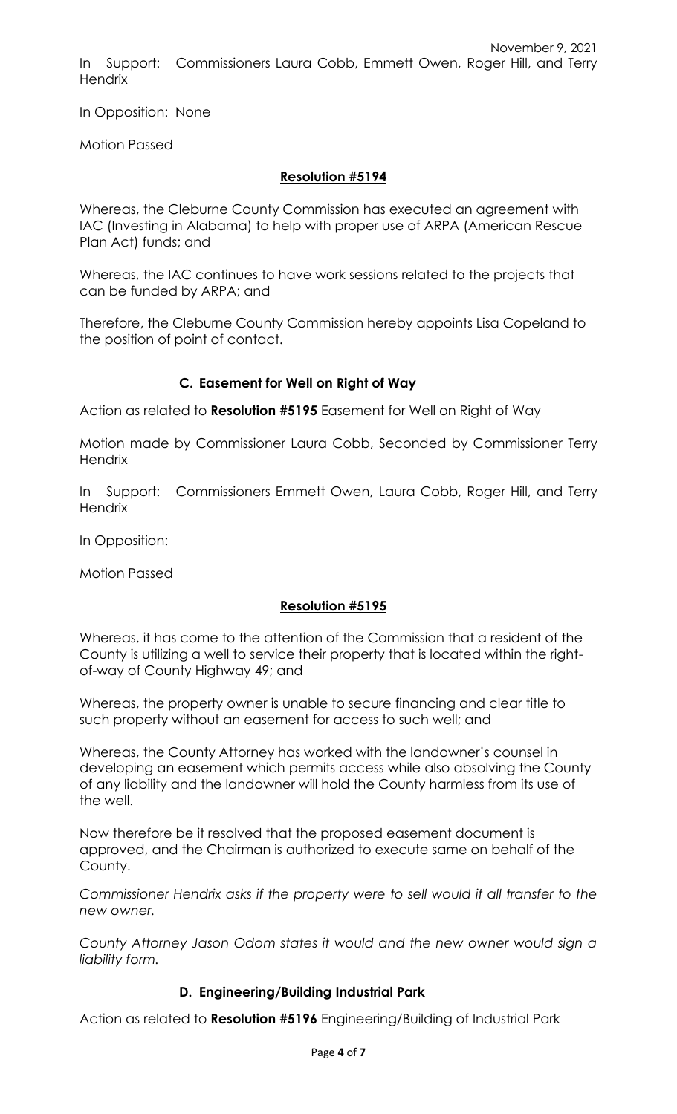November 9, 2021 In Support: Commissioners Laura Cobb, Emmett Owen, Roger Hill, and Terry **Hendrix** 

In Opposition: None

Motion Passed

# **Resolution #5194**

Whereas, the Cleburne County Commission has executed an agreement with IAC (Investing in Alabama) to help with proper use of ARPA (American Rescue Plan Act) funds; and

Whereas, the IAC continues to have work sessions related to the projects that can be funded by ARPA; and

Therefore, the Cleburne County Commission hereby appoints Lisa Copeland to the position of point of contact.

# **C. Easement for Well on Right of Way**

Action as related to **Resolution #5195** Easement for Well on Right of Way

Motion made by Commissioner Laura Cobb, Seconded by Commissioner Terry **Hendrix** 

In Support: Commissioners Emmett Owen, Laura Cobb, Roger Hill, and Terry **Hendrix** 

In Opposition:

Motion Passed

# **Resolution #5195**

Whereas, it has come to the attention of the Commission that a resident of the County is utilizing a well to service their property that is located within the rightof-way of County Highway 49; and

Whereas, the property owner is unable to secure financing and clear title to such property without an easement for access to such well; and

Whereas, the County Attorney has worked with the landowner's counsel in developing an easement which permits access while also absolving the County of any liability and the landowner will hold the County harmless from its use of the well.

Now therefore be it resolved that the proposed easement document is approved, and the Chairman is authorized to execute same on behalf of the County.

*Commissioner Hendrix asks if the property were to sell would it all transfer to the new owner.*

*County Attorney Jason Odom states it would and the new owner would sign a liability form.*

# **D. Engineering/Building Industrial Park**

Action as related to **Resolution #5196** Engineering/Building of Industrial Park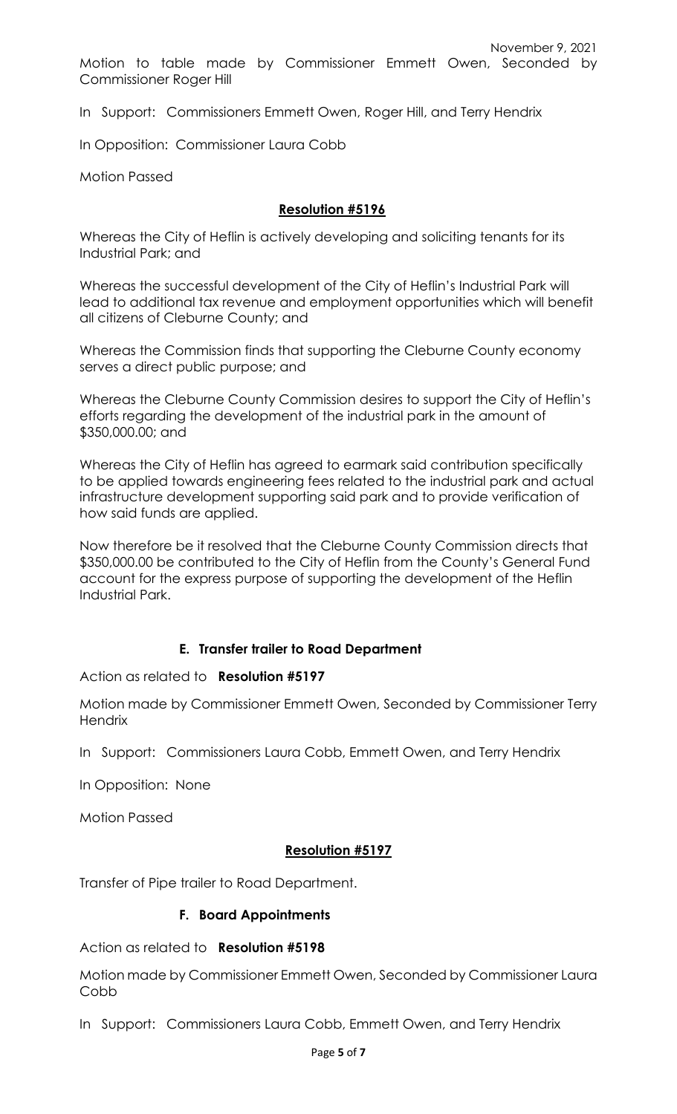In Support: Commissioners Emmett Owen, Roger Hill, and Terry Hendrix

In Opposition: Commissioner Laura Cobb

Motion Passed

# **Resolution #5196**

Whereas the City of Heflin is actively developing and soliciting tenants for its Industrial Park; and

Whereas the successful development of the City of Heflin's Industrial Park will lead to additional tax revenue and employment opportunities which will benefit all citizens of Cleburne County; and

Whereas the Commission finds that supporting the Cleburne County economy serves a direct public purpose; and

Whereas the Cleburne County Commission desires to support the City of Heflin's efforts regarding the development of the industrial park in the amount of \$350,000.00; and

Whereas the City of Heflin has agreed to earmark said contribution specifically to be applied towards engineering fees related to the industrial park and actual infrastructure development supporting said park and to provide verification of how said funds are applied.

Now therefore be it resolved that the Cleburne County Commission directs that \$350,000.00 be contributed to the City of Heflin from the County's General Fund account for the express purpose of supporting the development of the Heflin Industrial Park.

# **E. Transfer trailer to Road Department**

Action as related to **Resolution #5197**

Motion made by Commissioner Emmett Owen, Seconded by Commissioner Terry **Hendrix** 

In Support: Commissioners Laura Cobb, Emmett Owen, and Terry Hendrix

In Opposition: None

Motion Passed

# **Resolution #5197**

Transfer of Pipe trailer to Road Department.

# **F. Board Appointments**

Action as related to **Resolution #5198**

Motion made by Commissioner Emmett Owen, Seconded by Commissioner Laura Cobb

In Support: Commissioners Laura Cobb, Emmett Owen, and Terry Hendrix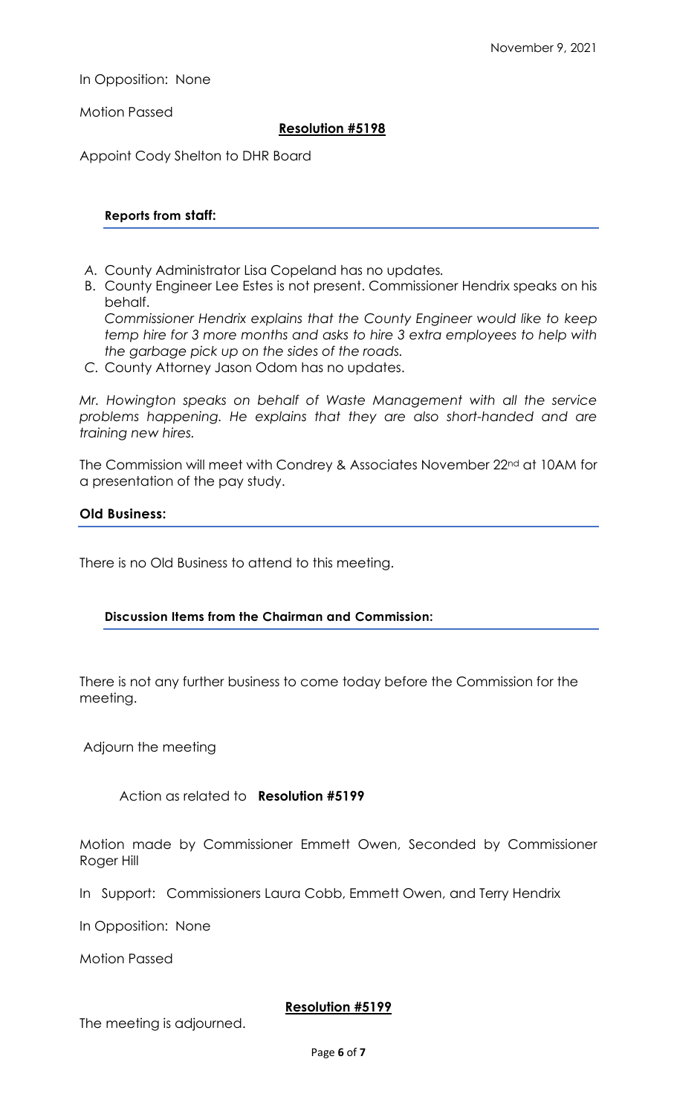In Opposition: None

Motion Passed

# **Resolution #5198**

Appoint Cody Shelton to DHR Board

### **Reports from staff:**

- *A.* County Administrator Lisa Copeland has no updates*.*
- B. County Engineer Lee Estes is not present. Commissioner Hendrix speaks on his behalf.

*Commissioner Hendrix explains that the County Engineer would like to keep temp hire for 3 more months and asks to hire 3 extra employees to help with the garbage pick up on the sides of the roads.*

*C.* County Attorney Jason Odom has no updates.

*Mr. Howington speaks on behalf of Waste Management with all the service problems happening. He explains that they are also short-handed and are training new hires.*

The Commission will meet with Condrey & Associates November 22<sup>nd</sup> at 10AM for a presentation of the pay study.

### **Old Business:**

There is no Old Business to attend to this meeting.

# **Discussion Items from the Chairman and Commission:**

There is not any further business to come today before the Commission for the meeting.

Adjourn the meeting

Action as related to **Resolution #5199**

Motion made by Commissioner Emmett Owen, Seconded by Commissioner Roger Hill

In Support: Commissioners Laura Cobb, Emmett Owen, and Terry Hendrix

In Opposition: None

Motion Passed

# **Resolution #5199**

The meeting is adjourned.